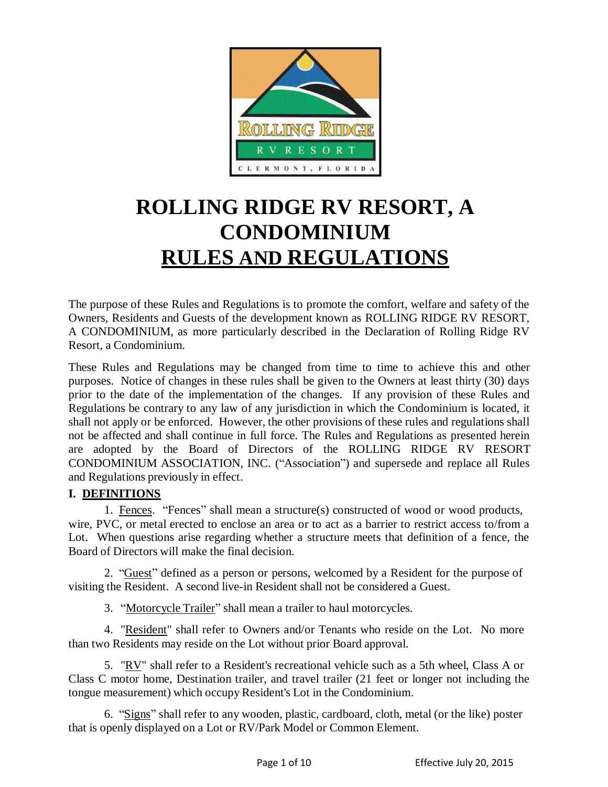

# **ROLLING RIDGE RV RESORT, A CONDOMINIUM RULES AND REGULATIONS**

The purpose of these Rules and Regulations is to promote the comfort, welfare and safety of the Owners, Residents and Guests of the development known as ROLLING RIDGE RV RESORT, A CONDOMINIUM, as more particularly described in the Declaration of Rolling Ridge RV Resort, a Condominium.

These Rules and Regulations may be changed from time to time to achieve this and other purposes. Notice of changes in these rules shall be given to the Owners at least thirty (30) days prior to the date of the implementation of the changes. If any provision of these Rules and Regulations be contrary to any law of any jurisdiction in which the Condominium is located, it shall not apply or be enforced. However, the other provisions of these rules and regulations shall not be affected and shall continue in full force. The Rules and Regulations as presented herein are adopted by the Board of Directors of the ROLLING RIDGE RV RESORT CONDOMINIUM ASSOCIATION, INC. ("Association") and supersede and replace all Rules and Regulations previously in effect.

#### **I. DEFINITIONS**

1. Fences. "Fences" shall mean a structure(s) constructed of wood or wood products, wire, PVC, or metal erected to enclose an area or to act as a barrier to restrict access to/from a Lot. When questions arise regarding whether a structure meets that definition of a fence, the Board of Directors will make the final decision.

2. "Guest" defined as a person or persons, welcomed by a Resident for the purpose of visiting the Resident. A second live-in Resident shall not be considered a Guest.

3. "Motorcycle Trailer" shall mean a trailer to haul motorcycles.

4. "Resident" shall refer to Owners and/or Tenants who reside on the Lot. No more than two Residents may reside on the Lot without prior Board approval.

5. "RV" shall refer to a Resident's recreational vehicle such as a 5th wheel, Class A or Class C motor home, Destination trailer, and travel trailer (21 feet or longer not including the tongue measurement) which occupy Resident's Lot in the Condominium.

6. "Signs" shall refer to any wooden, plastic, cardboard, cloth, metal (or the like) poster that is openly displayed on a Lot or RV/Park Model or Common Element.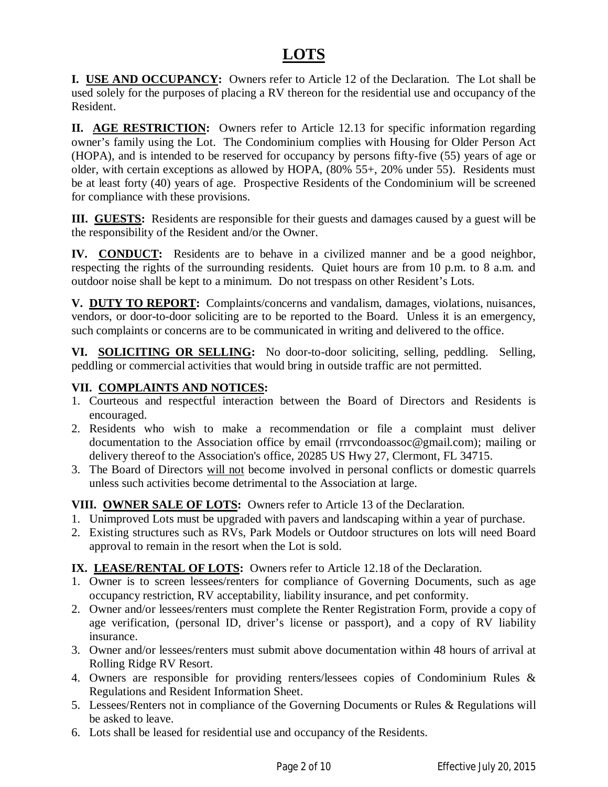# **LOTS**

**I. USE AND OCCUPANCY:** Owners refer to Article 12 of the Declaration. The Lot shall be used solely for the purposes of placing a RV thereon for the residential use and occupancy of the Resident.

**II. AGE RESTRICTION:** Owners refer to Article 12.13 for specific information regarding owner's family using the Lot. The Condominium complies with Housing for Older Person Act (HOPA), and is intended to be reserved for occupancy by persons fifty-five (55) years of age or older, with certain exceptions as allowed by HOPA, (80% 55+, 20% under 55). Residents must be at least forty (40) years of age. Prospective Residents of the Condominium will be screened for compliance with these provisions.

**III. GUESTS:** Residents are responsible for their guests and damages caused by a guest will be the responsibility of the Resident and/or the Owner.

**IV. CONDUCT:** Residents are to behave in a civilized manner and be a good neighbor, respecting the rights of the surrounding residents. Quiet hours are from 10 p.m. to 8 a.m. and outdoor noise shall be kept to a minimum. Do not trespass on other Resident's Lots.

**V. DUTY TO REPORT:** Complaints/concerns and vandalism, damages, violations, nuisances, vendors, or door-to-door soliciting are to be reported to the Board. Unless it is an emergency, such complaints or concerns are to be communicated in writing and delivered to the office.

**VI. SOLICITING OR SELLING:** No door-to-door soliciting, selling, peddling. Selling, peddling or commercial activities that would bring in outside traffic are not permitted.

### **VII. COMPLAINTS AND NOTICES:**

- 1. Courteous and respectful interaction between the Board of Directors and Residents is encouraged.
- 2. Residents who wish to make a recommendation or file a complaint must deliver documentation to the Association office by email (rrrvcondoassoc@gmail.com); mailing or delivery thereof to the Association's office, 20285 US Hwy 27, Clermont, FL 34715.
- 3. The Board of Directors will not become involved in personal conflicts or domestic quarrels unless such activities become detrimental to the Association at large.

**VIII. OWNER SALE OF LOTS:** Owners refer to Article 13 of the Declaration.

- 1. Unimproved Lots must be upgraded with pavers and landscaping within a year of purchase.
- 2. Existing structures such as RVs, Park Models or Outdoor structures on lots will need Board approval to remain in the resort when the Lot is sold.

### **IX. LEASE/RENTAL OF LOTS:** Owners refer to Article 12.18 of the Declaration.

- 1. Owner is to screen lessees/renters for compliance of Governing Documents, such as age occupancy restriction, RV acceptability, liability insurance, and pet conformity.
- 2. Owner and/or lessees/renters must complete the Renter Registration Form, provide a copy of age verification, (personal ID, driver's license or passport), and a copy of RV liability insurance.
- 3. Owner and/or lessees/renters must submit above documentation within 48 hours of arrival at Rolling Ridge RV Resort.
- 4. Owners are responsible for providing renters/lessees copies of Condominium Rules & Regulations and Resident Information Sheet.
- 5. Lessees/Renters not in compliance of the Governing Documents or Rules & Regulations will be asked to leave.
- 6. Lots shall be leased for residential use and occupancy of the Residents.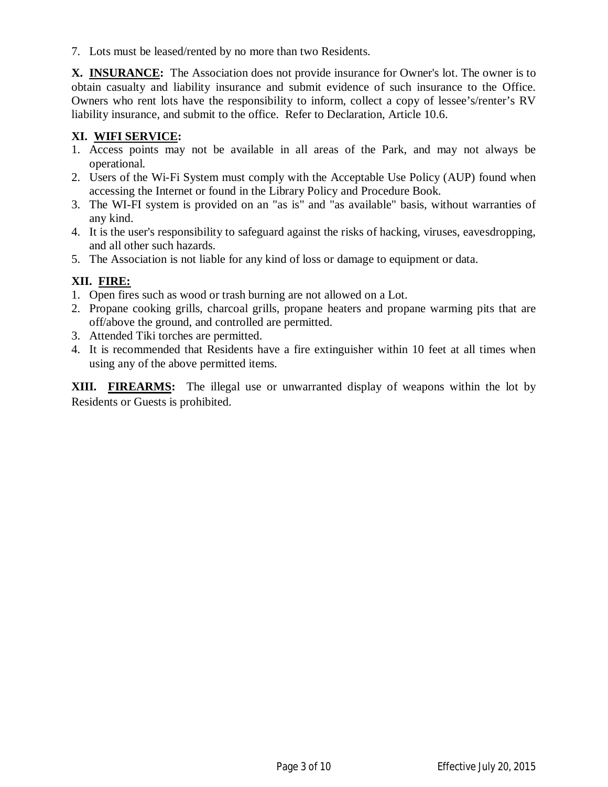7. Lots must be leased/rented by no more than two Residents.

**X. INSURANCE:** The Association does not provide insurance for Owner's lot. The owner is to obtain casualty and liability insurance and submit evidence of such insurance to the Office. Owners who rent lots have the responsibility to inform, collect a copy of lessee's/renter's RV liability insurance, and submit to the office. Refer to Declaration, Article 10.6.

#### **XI. WIFI SERVICE:**

- 1. Access points may not be available in all areas of the Park, and may not always be operational.
- 2. Users of the Wi-Fi System must comply with the Acceptable Use Policy (AUP) found when accessing the Internet or found in the Library Policy and Procedure Book.
- 3. The WI-FI system is provided on an "as is" and "as available" basis, without warranties of any kind.
- 4. It is the user's responsibility to safeguard against the risks of hacking, viruses, eavesdropping, and all other such hazards.
- 5. The Association is not liable for any kind of loss or damage to equipment or data.

### **XII. FIRE:**

- 1. Open fires such as wood or trash burning are not allowed on a Lot.
- 2. Propane cooking grills, charcoal grills, propane heaters and propane warming pits that are off/above the ground, and controlled are permitted.
- 3. Attended Tiki torches are permitted.
- 4. It is recommended that Residents have a fire extinguisher within 10 feet at all times when using any of the above permitted items.

**XIII. FIREARMS:** The illegal use or unwarranted display of weapons within the lot by Residents or Guests is prohibited.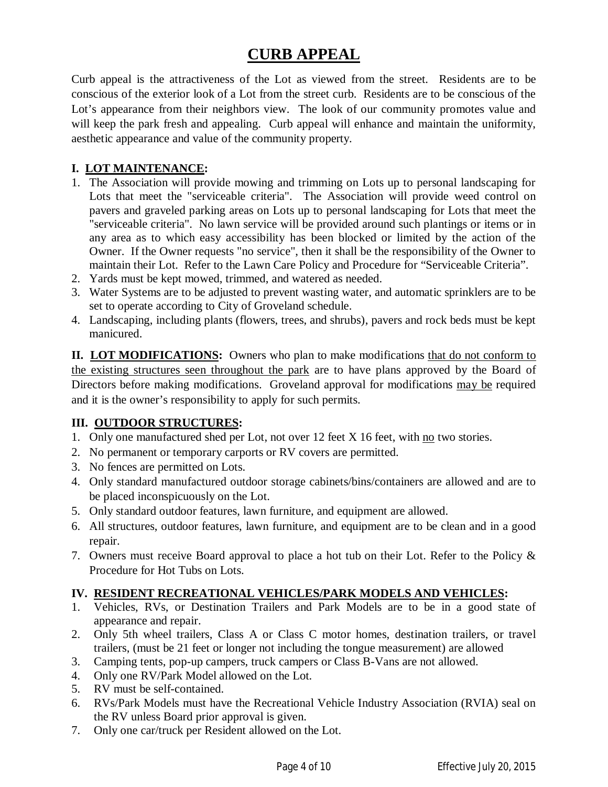# **CURB APPEAL**

Curb appeal is the attractiveness of the Lot as viewed from the street. Residents are to be conscious of the exterior look of a Lot from the street curb. Residents are to be conscious of the Lot's appearance from their neighbors view. The look of our community promotes value and will keep the park fresh and appealing. Curb appeal will enhance and maintain the uniformity, aesthetic appearance and value of the community property.

#### **I. LOT MAINTENANCE:**

- 1. The Association will provide mowing and trimming on Lots up to personal landscaping for Lots that meet the "serviceable criteria". The Association will provide weed control on pavers and graveled parking areas on Lots up to personal landscaping for Lots that meet the "serviceable criteria". No lawn service will be provided around such plantings or items or in any area as to which easy accessibility has been blocked or limited by the action of the Owner. If the Owner requests "no service", then it shall be the responsibility of the Owner to maintain their Lot. Refer to the Lawn Care Policy and Procedure for "Serviceable Criteria".
- 2. Yards must be kept mowed, trimmed, and watered as needed.
- 3. Water Systems are to be adjusted to prevent wasting water, and automatic sprinklers are to be set to operate according to City of Groveland schedule.
- 4. Landscaping, including plants (flowers, trees, and shrubs), pavers and rock beds must be kept manicured.

**II. LOT MODIFICATIONS:** Owners who plan to make modifications that do not conform to the existing structures seen throughout the park are to have plans approved by the Board of Directors before making modifications. Groveland approval for modifications may be required and it is the owner's responsibility to apply for such permits.

#### **III. OUTDOOR STRUCTURES:**

- 1. Only one manufactured shed per Lot, not over 12 feet X 16 feet, with no two stories.
- 2. No permanent or temporary carports or RV covers are permitted.
- 3. No fences are permitted on Lots.
- 4. Only standard manufactured outdoor storage cabinets/bins/containers are allowed and are to be placed inconspicuously on the Lot.
- 5. Only standard outdoor features, lawn furniture, and equipment are allowed.
- 6. All structures, outdoor features, lawn furniture, and equipment are to be clean and in a good repair.
- 7. Owners must receive Board approval to place a hot tub on their Lot. Refer to the Policy & Procedure for Hot Tubs on Lots.

### **IV. RESIDENT RECREATIONAL VEHICLES/PARK MODELS AND VEHICLES:**

- 1. Vehicles, RVs, or Destination Trailers and Park Models are to be in a good state of appearance and repair.
- 2. Only 5th wheel trailers, Class A or Class C motor homes, destination trailers, or travel trailers, (must be 21 feet or longer not including the tongue measurement) are allowed
- 3. Camping tents, pop-up campers, truck campers or Class B-Vans are not allowed.
- 4. Only one RV/Park Model allowed on the Lot.
- 5. RV must be self-contained.
- 6. RVs/Park Models must have the Recreational Vehicle Industry Association (RVIA) seal on the RV unless Board prior approval is given.
- 7. Only one car/truck per Resident allowed on the Lot.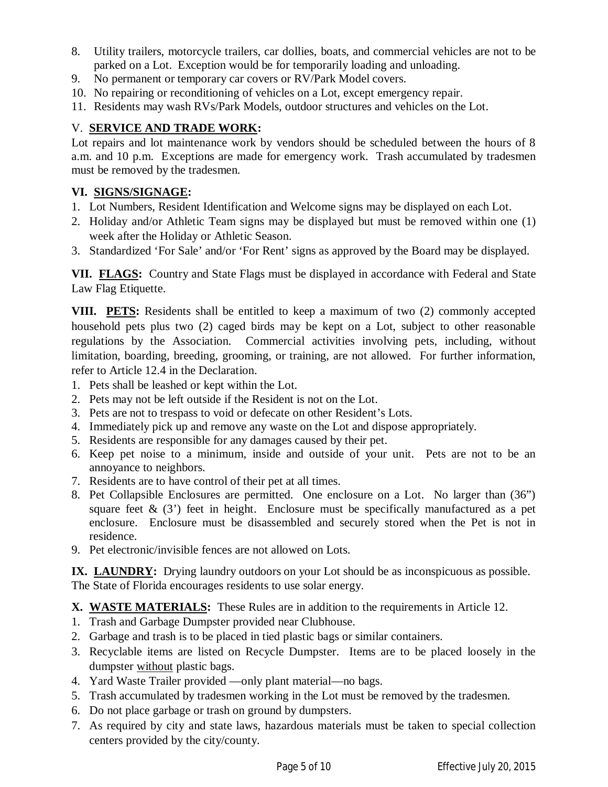- 8. Utility trailers, motorcycle trailers, car dollies, boats, and commercial vehicles are not to be parked on a Lot. Exception would be for temporarily loading and unloading.
- 9. No permanent or temporary car covers or RV/Park Model covers.
- 10. No repairing or reconditioning of vehicles on a Lot, except emergency repair.
- 11. Residents may wash RVs/Park Models, outdoor structures and vehicles on the Lot.

### V. **SERVICE AND TRADE WORK:**

Lot repairs and lot maintenance work by vendors should be scheduled between the hours of 8 a.m. and 10 p.m. Exceptions are made for emergency work.Trash accumulated by tradesmen must be removed by the tradesmen.

#### **VI. SIGNS/SIGNAGE:**

- 1. Lot Numbers, Resident Identification and Welcome signs may be displayed on each Lot.
- 2. Holiday and/or Athletic Team signs may be displayed but must be removed within one (1) week after the Holiday or Athletic Season.
- 3. Standardized 'For Sale' and/or 'For Rent' signs as approved by the Board may be displayed.

**VII. FLAGS:** Country and State Flags must be displayed in accordance with Federal and State Law Flag Etiquette.

**VIII. PETS:** Residents shall be entitled to keep a maximum of two (2) commonly accepted household pets plus two (2) caged birds may be kept on a Lot, subject to other reasonable regulations by the Association. Commercial activities involving pets, including, without limitation, boarding, breeding, grooming, or training, are not allowed. For further information, refer to Article 12.4 in the Declaration.

- 1. Pets shall be leashed or kept within the Lot.
- 2. Pets may not be left outside if the Resident is not on the Lot.
- 3. Pets are not to trespass to void or defecate on other Resident's Lots.
- 4. Immediately pick up and remove any waste on the Lot and dispose appropriately.
- 5. Residents are responsible for any damages caused by their pet.
- 6. Keep pet noise to a minimum, inside and outside of your unit. Pets are not to be an annoyance to neighbors.
- 7. Residents are to have control of their pet at all times.
- 8. Pet Collapsible Enclosures are permitted. One enclosure on a Lot. No larger than (36") square feet  $\&$  (3') feet in height. Enclosure must be specifically manufactured as a pet enclosure. Enclosure must be disassembled and securely stored when the Pet is not in residence.
- 9. Pet electronic/invisible fences are not allowed on Lots.

**IX. LAUNDRY:** Drying laundry outdoors on your Lot should be as inconspicuous as possible. The State of Florida encourages residents to use solar energy.

### **X. WASTE MATERIALS:** These Rules are in addition to the requirements in Article 12.

- 1. Trash and Garbage Dumpster provided near Clubhouse.
- 2. Garbage and trash is to be placed in tied plastic bags or similar containers.
- 3. Recyclable items are listed on Recycle Dumpster. Items are to be placed loosely in the dumpster without plastic bags.
- 4. Yard Waste Trailer provided —only plant material—no bags.
- 5. Trash accumulated by tradesmen working in the Lot must be removed by the tradesmen.
- 6. Do not place garbage or trash on ground by dumpsters.
- 7. As required by city and state laws, hazardous materials must be taken to special collection centers provided by the city/county.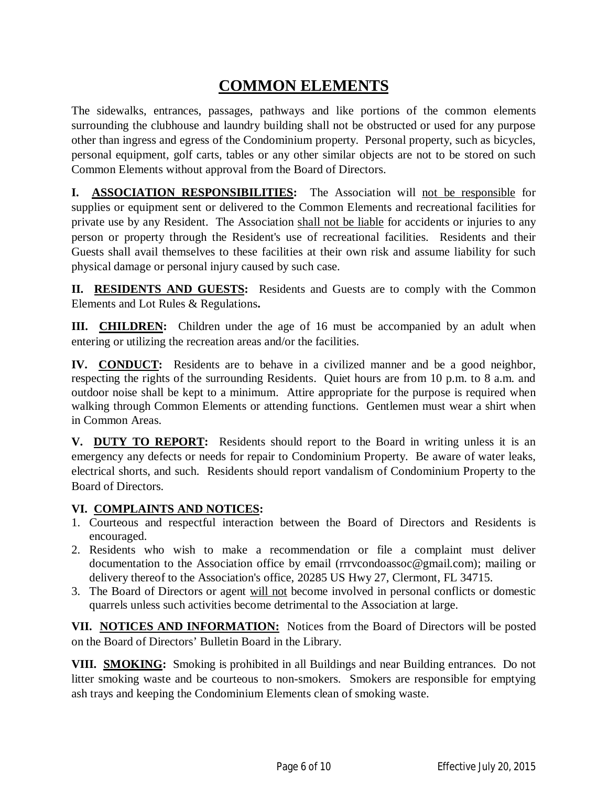# **COMMON ELEMENTS**

The sidewalks, entrances, passages, pathways and like portions of the common elements surrounding the clubhouse and laundry building shall not be obstructed or used for any purpose other than ingress and egress of the Condominium property. Personal property, such as bicycles, personal equipment, golf carts, tables or any other similar objects are not to be stored on such Common Elements without approval from the Board of Directors.

**I. ASSOCIATION RESPONSIBILITIES:** The Association will not be responsible for supplies or equipment sent or delivered to the Common Elements and recreational facilities for private use by any Resident. The Association shall not be liable for accidents or injuries to any person or property through the Resident's use of recreational facilities. Residents and their Guests shall avail themselves to these facilities at their own risk and assume liability for such physical damage or personal injury caused by such case.

**II. RESIDENTS AND GUESTS:** Residents and Guests are to comply with the Common Elements and Lot Rules & Regulations**.**

**III.** CHILDREN: Children under the age of 16 must be accompanied by an adult when entering or utilizing the recreation areas and/or the facilities.

**IV. CONDUCT:** Residents are to behave in a civilized manner and be a good neighbor, respecting the rights of the surrounding Residents. Quiet hours are from 10 p.m. to 8 a.m. and outdoor noise shall be kept to a minimum. Attire appropriate for the purpose is required when walking through Common Elements or attending functions. Gentlemen must wear a shirt when in Common Areas.

**V. DUTY TO REPORT:** Residents should report to the Board in writing unless it is an emergency any defects or needs for repair to Condominium Property. Be aware of water leaks, electrical shorts, and such. Residents should report vandalism of Condominium Property to the Board of Directors.

#### **VI. COMPLAINTS AND NOTICES:**

- 1. Courteous and respectful interaction between the Board of Directors and Residents is encouraged.
- 2. Residents who wish to make a recommendation or file a complaint must deliver documentation to the Association office by email (rrrvcondoassoc@gmail.com); mailing or delivery thereof to the Association's office, 20285 US Hwy 27, Clermont, FL 34715.
- 3. The Board of Directors or agent will not become involved in personal conflicts or domestic quarrels unless such activities become detrimental to the Association at large.

**VII. NOTICES AND INFORMATION:** Notices from the Board of Directors will be posted on the Board of Directors' Bulletin Board in the Library.

**VIII. SMOKING:** Smoking is prohibited in all Buildings and near Building entrances. Do not litter smoking waste and be courteous to non-smokers. Smokers are responsible for emptying ash trays and keeping the Condominium Elements clean of smoking waste.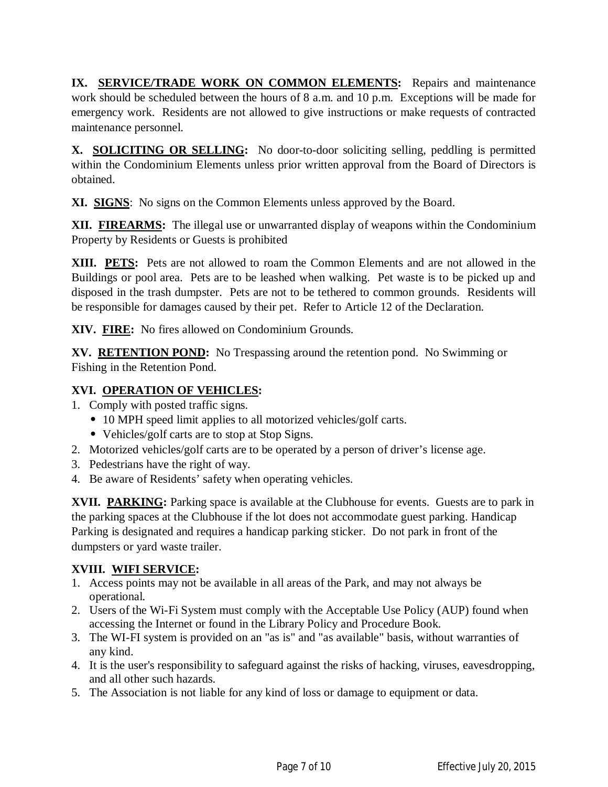**IX. SERVICE/TRADE WORK ON COMMON ELEMENTS:** Repairs and maintenance work should be scheduled between the hours of 8 a.m. and 10 p.m. Exceptions will be made for emergency work. Residents are not allowed to give instructions or make requests of contracted maintenance personnel.

**X. SOLICITING OR SELLING:** No door-to-door soliciting selling, peddling is permitted within the Condominium Elements unless prior written approval from the Board of Directors is obtained.

**XI. SIGNS**: No signs on the Common Elements unless approved by the Board.

**XII. FIREARMS:** The illegal use or unwarranted display of weapons within the Condominium Property by Residents or Guests is prohibited

**XIII. PETS:** Pets are not allowed to roam the Common Elements and are not allowed in the Buildings or pool area. Pets are to be leashed when walking. Pet waste is to be picked up and disposed in the trash dumpster. Pets are not to be tethered to common grounds. Residents will be responsible for damages caused by their pet. Refer to Article 12 of the Declaration.

**XIV. FIRE:** No fires allowed on Condominium Grounds.

**XV. RETENTION POND:** No Trespassing around the retention pond. No Swimming or Fishing in the Retention Pond.

#### **XVI. OPERATION OF VEHICLES:**

- 1. Comply with posted traffic signs.
	- **•** 10 MPH speed limit applies to all motorized vehicles/golf carts.
	- **•** Vehicles/golf carts are to stop at Stop Signs.
- 2. Motorized vehicles/golf carts are to be operated by a person of driver's license age.
- 3. Pedestrians have the right of way.
- 4. Be aware of Residents' safety when operating vehicles.

**XVII. PARKING:** Parking space is available at the Clubhouse for events. Guests are to park in the parking spaces at the Clubhouse if the lot does not accommodate guest parking. Handicap Parking is designated and requires a handicap parking sticker. Do not park in front of the dumpsters or yard waste trailer.

### **XVIII. WIFI SERVICE:**

- 1. Access points may not be available in all areas of the Park, and may not always be operational.
- 2. Users of the Wi-Fi System must comply with the Acceptable Use Policy (AUP) found when accessing the Internet or found in the Library Policy and Procedure Book.
- 3. The WI-FI system is provided on an "as is" and "as available" basis, without warranties of any kind.
- 4. It is the user's responsibility to safeguard against the risks of hacking, viruses, eavesdropping, and all other such hazards.
- 5. The Association is not liable for any kind of loss or damage to equipment or data.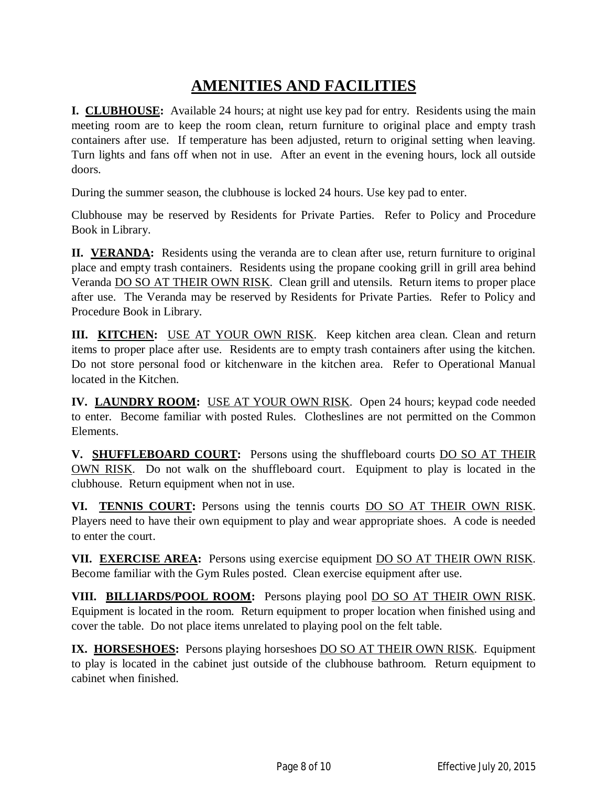# **AMENITIES AND FACILITIES**

**I. CLUBHOUSE:** Available 24 hours; at night use key pad for entry. Residents using the main meeting room are to keep the room clean, return furniture to original place and empty trash containers after use. If temperature has been adjusted, return to original setting when leaving. Turn lights and fans off when not in use. After an event in the evening hours, lock all outside doors.

During the summer season, the clubhouse is locked 24 hours. Use key pad to enter.

Clubhouse may be reserved by Residents for Private Parties. Refer to Policy and Procedure Book in Library.

**II. VERANDA:** Residents using the veranda are to clean after use, return furniture to original place and empty trash containers. Residents using the propane cooking grill in grill area behind Veranda DO SO AT THEIR OWN RISK. Clean grill and utensils. Return items to proper place after use. The Veranda may be reserved by Residents for Private Parties. Refer to Policy and Procedure Book in Library.

**III. KITCHEN:** USE AT YOUR OWN RISK. Keep kitchen area clean. Clean and return items to proper place after use. Residents are to empty trash containers after using the kitchen. Do not store personal food or kitchenware in the kitchen area. Refer to Operational Manual located in the Kitchen.

**IV. LAUNDRY ROOM:** USE AT YOUR OWN RISK. Open 24 hours; keypad code needed to enter. Become familiar with posted Rules. Clotheslines are not permitted on the Common Elements.

**V. SHUFFLEBOARD COURT:** Persons using the shuffleboard courts DO SO AT THEIR OWN RISK. Do not walk on the shuffleboard court. Equipment to play is located in the clubhouse. Return equipment when not in use.

**VI. TENNIS COURT:** Persons using the tennis courts DO SO AT THEIR OWN RISK. Players need to have their own equipment to play and wear appropriate shoes. A code is needed to enter the court.

**VII. EXERCISE AREA:** Persons using exercise equipment DO SO AT THEIR OWN RISK. Become familiar with the Gym Rules posted. Clean exercise equipment after use.

**VIII. BILLIARDS/POOL ROOM:** Persons playing pool DO SO AT THEIR OWN RISK. Equipment is located in the room. Return equipment to proper location when finished using and cover the table. Do not place items unrelated to playing pool on the felt table.

**IX. HORSESHOES:** Persons playing horseshoes DO SO AT THEIR OWN RISK. Equipment to play is located in the cabinet just outside of the clubhouse bathroom. Return equipment to cabinet when finished.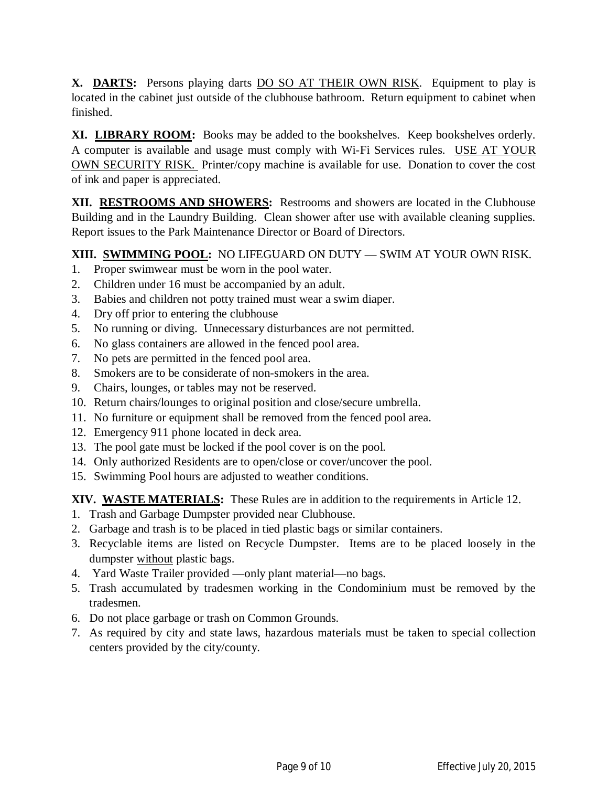**X. DARTS:** Persons playing darts DO SO AT THEIR OWN RISK. Equipment to play is located in the cabinet just outside of the clubhouse bathroom. Return equipment to cabinet when finished.

**XI. LIBRARY ROOM:** Books may be added to the bookshelves. Keep bookshelves orderly. A computer is available and usage must comply with Wi-Fi Services rules. USE AT YOUR OWN SECURITY RISK. Printer/copy machine is available for use. Donation to cover the cost of ink and paper is appreciated.

**XII. RESTROOMS AND SHOWERS:** Restrooms and showers are located in the Clubhouse Building and in the Laundry Building. Clean shower after use with available cleaning supplies. Report issues to the Park Maintenance Director or Board of Directors.

**XIII. SWIMMING POOL:** NO LIFEGUARD ON DUTY — SWIM AT YOUR OWN RISK.

- 1. Proper swimwear must be worn in the pool water.
- 2. Children under 16 must be accompanied by an adult.
- 3. Babies and children not potty trained must wear a swim diaper.
- 4. Dry off prior to entering the clubhouse
- 5. No running or diving. Unnecessary disturbances are not permitted.
- 6. No glass containers are allowed in the fenced pool area.
- 7. No pets are permitted in the fenced pool area.
- 8. Smokers are to be considerate of non-smokers in the area.
- 9. Chairs, lounges, or tables may not be reserved.
- 10. Return chairs/lounges to original position and close/secure umbrella.
- 11. No furniture or equipment shall be removed from the fenced pool area.
- 12. Emergency 911 phone located in deck area.
- 13. The pool gate must be locked if the pool cover is on the pool.
- 14. Only authorized Residents are to open/close or cover/uncover the pool.
- 15. Swimming Pool hours are adjusted to weather conditions.

**XIV. WASTE MATERIALS:** These Rules are in addition to the requirements in Article 12.

- 1. Trash and Garbage Dumpster provided near Clubhouse.
- 2. Garbage and trash is to be placed in tied plastic bags or similar containers.
- 3. Recyclable items are listed on Recycle Dumpster. Items are to be placed loosely in the dumpster without plastic bags.
- 4. Yard Waste Trailer provided —only plant material—no bags.
- 5. Trash accumulated by tradesmen working in the Condominium must be removed by the tradesmen.
- 6. Do not place garbage or trash on Common Grounds.
- 7. As required by city and state laws, hazardous materials must be taken to special collection centers provided by the city/county.